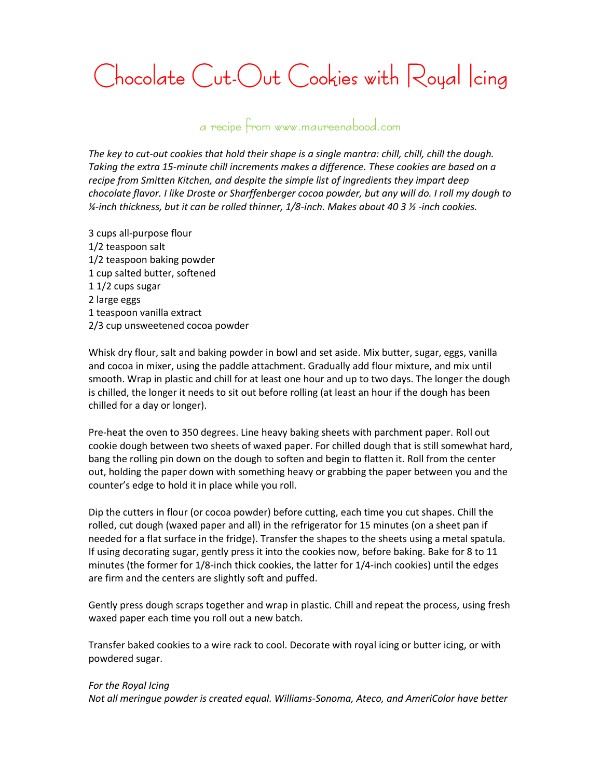## **Chocolate Cut-Out Cookies with Royal Icing**

## **a recipe from www.maureenabood.com**

*The key to cut-out cookies that hold their shape is a single mantra: chill, chill, chill the dough. Taking the extra 15-minute chill increments makes a difference. These cookies are based on a recipe from Smitten Kitchen, and despite the simple list of ingredients they impart deep chocolate flavor. I like Droste or Sharffenberger cocoa powder, but any will do. I roll my dough to ¼-inch thickness, but it can be rolled thinner, 1/8-inch. Makes about 40 3 ½ -inch cookies.*

3 cups all-purpose flour 1/2 teaspoon salt 1/2 teaspoon baking powder 1 cup salted butter, softened 1 1/2 cups sugar 2 large eggs 1 teaspoon vanilla extract 2/3 cup unsweetened cocoa powder

Whisk dry flour, salt and baking powder in bowl and set aside. Mix butter, sugar, eggs, vanilla and cocoa in mixer, using the paddle attachment. Gradually add flour mixture, and mix until smooth. Wrap in plastic and chill for at least one hour and up to two days. The longer the dough is chilled, the longer it needs to sit out before rolling (at least an hour if the dough has been chilled for a day or longer).

Pre-heat the oven to 350 degrees. Line heavy baking sheets with parchment paper. Roll out cookie dough between two sheets of waxed paper. For chilled dough that is still somewhat hard, bang the rolling pin down on the dough to soften and begin to flatten it. Roll from the center out, holding the paper down with something heavy or grabbing the paper between you and the counter's edge to hold it in place while you roll.

Dip the cutters in flour (or cocoa powder) before cutting, each time you cut shapes. Chill the rolled, cut dough (waxed paper and all) in the refrigerator for 15 minutes (on a sheet pan if needed for a flat surface in the fridge). Transfer the shapes to the sheets using a metal spatula. If using decorating sugar, gently press it into the cookies now, before baking. Bake for 8 to 11 minutes (the former for 1/8-inch thick cookies, the latter for 1/4-inch cookies) until the edges are firm and the centers are slightly soft and puffed.

Gently press dough scraps together and wrap in plastic. Chill and repeat the process, using fresh waxed paper each time you roll out a new batch.

Transfer baked cookies to a wire rack to cool. Decorate with royal icing or butter icing, or with powdered sugar.

## *For the Royal Icing*

*Not all meringue powder is created equal. Williams-Sonoma, Ateco, and AmeriColor have better*